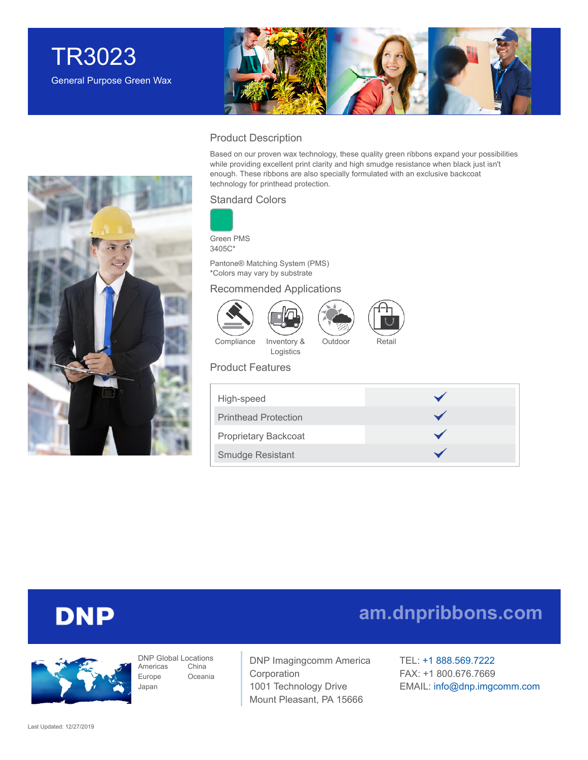



### Product Description

Based on our proven wax technology, these quality green ribbons expand your possibilities while providing excellent print clarity and high smudge resistance when black just isn't enough. These ribbons are also specially formulated with an exclusive backcoat technology for printhead protection.

### Standard Colors



Green PMS 3405C\*

Pantone® Matching System (PMS) \*Colors may vary by substrate

### Recommended Applications





Logistics



Outdoor Retail

Product Features

| High-speed                  |  |
|-----------------------------|--|
| <b>Printhead Protection</b> |  |
| <b>Proprietary Backcoat</b> |  |
| <b>Smudge Resistant</b>     |  |

## **DNP**



DNP Global Locations Americas Europe Japan China Oceania

DNP Imagingcomm America Corporation 1001 Technology Drive Mount Pleasant, PA 15666

TEL: +1 [888.569.7222](tel:1.888.569.7222) FAX: +1 800.676.7669 EMAIL: [info@dnp.imgcomm.com](mailto:info@dnp.imgcomm.com)

**[am.dnpribbons.com](http://am.dnpribbons.com/)**